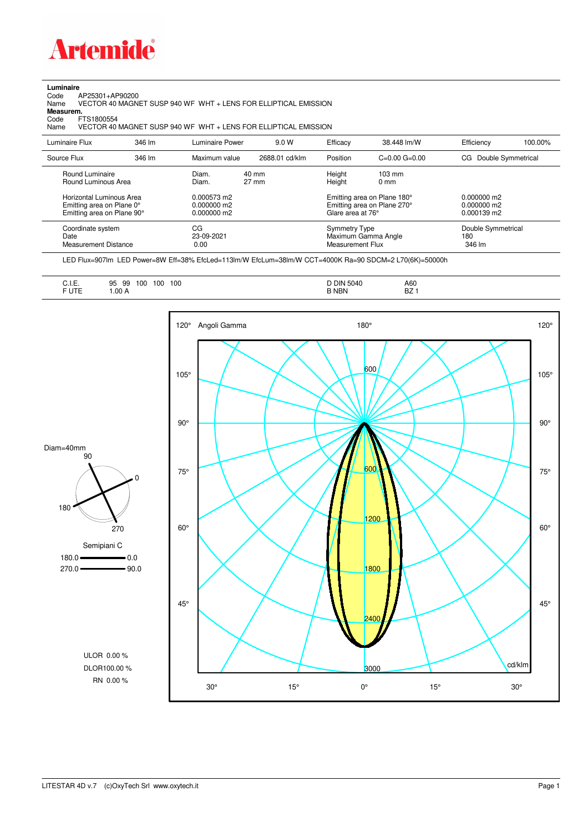

**Luminaire**<br>Code /<br>Name Code AP25301+AP90200 Name VECTOR 40 MAGNET SUSP 940 WF WHT + LENS FOR ELLIPTICAL EMISSION

**Measurem.**

Code FTS1800554<br>Name VECTOR 40 VECTOR 40 MAGNET SUSP 940 WF WHT + LENS FOR ELLIPTICAL EMISSION

| Luminaire Flux                                                                      | 346 lm | Luminaire Power                               | 9.0 W                    | Efficacy                                 | 38.448 lm/W                                                | Efficiency                                      | 100.00% |
|-------------------------------------------------------------------------------------|--------|-----------------------------------------------|--------------------------|------------------------------------------|------------------------------------------------------------|-------------------------------------------------|---------|
| Source Flux                                                                         | 346 lm | Maximum value                                 | 2688.01 cd/klm           | Position                                 | $C=0.00$ $G=0.00$                                          | Double Symmetrical<br>CG.                       |         |
| Round Luminaire<br>Round Luminous Area                                              |        | Diam.<br>Diam.                                | 40 mm<br>$27 \text{ mm}$ | Height<br>Height                         | $103 \text{ mm}$<br>$0 \text{ mm}$                         |                                                 |         |
| Horizontal Luminous Area<br>Emitting area on Plane 0°<br>Emitting area on Plane 90° |        | 0.000573 m2<br>$0.000000$ m2<br>$0.000000$ m2 |                          | Glare area at 76°                        | Emitting area on Plane 180°<br>Emitting area on Plane 270° | $0.000000$ m2<br>$0.000000$ m2<br>$0.000139$ m2 |         |
| Coordinate system<br>Date<br><b>Measurement Distance</b>                            |        | CG<br>23-09-2021<br>0.00                      |                          | <b>Symmetry Type</b><br>Measurement Flux | Maximum Gamma Angle                                        | Double Symmetrical<br>180<br>346 lm             |         |

LED Flux=907lm LED Power=8W Eff=38% EfcLed=113lm/W EfcLum=38lm/W CCT=4000K Ra=90 SDCM=2 L70(6K)=50000h

| A60<br>◡…<br>n <sub>7</sub><br>F UTE<br>B NBN<br>.00A<br>DZ. |
|--------------------------------------------------------------|
|--------------------------------------------------------------|